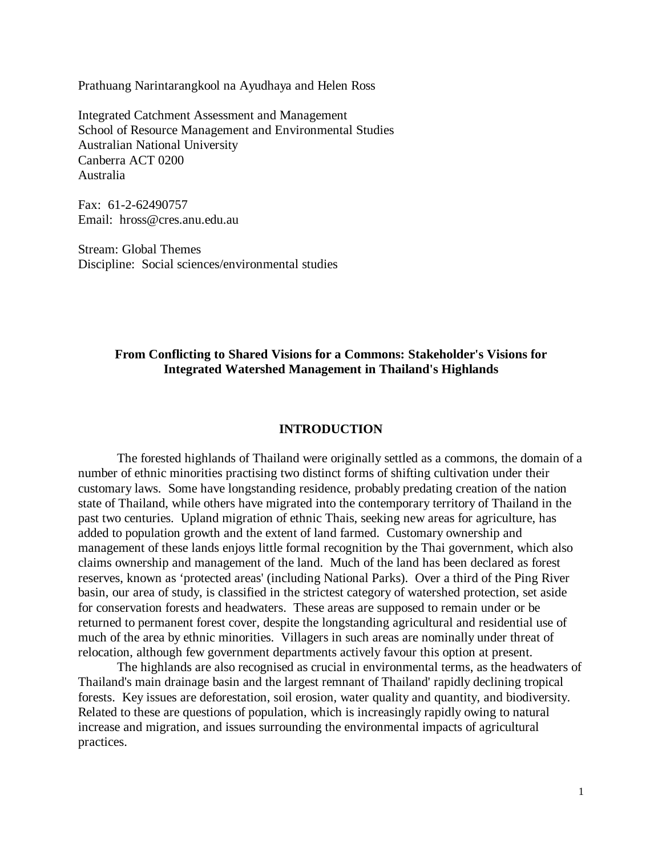Prathuang Narintarangkool na Ayudhaya and Helen Ross

Integrated Catchment Assessment and Management School of Resource Management and Environmental Studies Australian National University Canberra ACT 0200 Australia

Fax: 61-2-62490757 Email: hross@cres.anu.edu.au

Stream: Global Themes Discipline: Social sciences/environmental studies

# **From Conflicting to Shared Visions for a Commons: Stakeholder's Visions for Integrated Watershed Management in Thailand's Highlands**

# **INTRODUCTION**

The forested highlands of Thailand were originally settled as a commons, the domain of a number of ethnic minorities practising two distinct forms of shifting cultivation under their customary laws. Some have longstanding residence, probably predating creation of the nation state of Thailand, while others have migrated into the contemporary territory of Thailand in the past two centuries. Upland migration of ethnic Thais, seeking new areas for agriculture, has added to population growth and the extent of land farmed. Customary ownership and management of these lands enjoys little formal recognition by the Thai government, which also claims ownership and management of the land. Much of the land has been declared as forest reserves, known as 'protected areas' (including National Parks). Over a third of the Ping River basin, our area of study, is classified in the strictest category of watershed protection, set aside for conservation forests and headwaters. These areas are supposed to remain under or be returned to permanent forest cover, despite the longstanding agricultural and residential use of much of the area by ethnic minorities. Villagers in such areas are nominally under threat of relocation, although few government departments actively favour this option at present.

The highlands are also recognised as crucial in environmental terms, as the headwaters of Thailand's main drainage basin and the largest remnant of Thailand' rapidly declining tropical forests. Key issues are deforestation, soil erosion, water quality and quantity, and biodiversity. Related to these are questions of population, which is increasingly rapidly owing to natural increase and migration, and issues surrounding the environmental impacts of agricultural practices.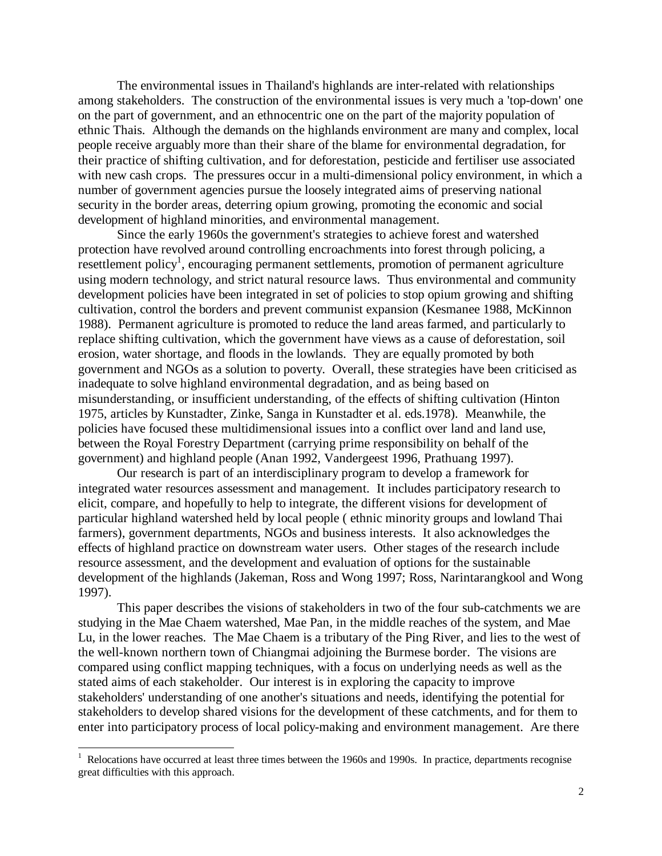The environmental issues in Thailand's highlands are inter-related with relationships among stakeholders. The construction of the environmental issues is very much a 'top-down' one on the part of government, and an ethnocentric one on the part of the majority population of ethnic Thais. Although the demands on the highlands environment are many and complex, local people receive arguably more than their share of the blame for environmental degradation, for their practice of shifting cultivation, and for deforestation, pesticide and fertiliser use associated with new cash crops. The pressures occur in a multi-dimensional policy environment, in which a number of government agencies pursue the loosely integrated aims of preserving national security in the border areas, deterring opium growing, promoting the economic and social development of highland minorities, and environmental management.

Since the early 1960s the government's strategies to achieve forest and watershed protection have revolved around controlling encroachments into forest through policing, a resettlement policy<sup>1</sup>, encouraging permanent settlements, promotion of permanent agriculture using modern technology, and strict natural resource laws. Thus environmental and community development policies have been integrated in set of policies to stop opium growing and shifting cultivation, control the borders and prevent communist expansion (Kesmanee 1988, McKinnon 1988). Permanent agriculture is promoted to reduce the land areas farmed, and particularly to replace shifting cultivation, which the government have views as a cause of deforestation, soil erosion, water shortage, and floods in the lowlands. They are equally promoted by both government and NGOs as a solution to poverty. Overall, these strategies have been criticised as inadequate to solve highland environmental degradation, and as being based on misunderstanding, or insufficient understanding, of the effects of shifting cultivation (Hinton 1975, articles by Kunstadter, Zinke, Sanga in Kunstadter et al. eds.1978). Meanwhile, the policies have focused these multidimensional issues into a conflict over land and land use, between the Royal Forestry Department (carrying prime responsibility on behalf of the government) and highland people (Anan 1992, Vandergeest 1996, Prathuang 1997).

Our research is part of an interdisciplinary program to develop a framework for integrated water resources assessment and management. It includes participatory research to elicit, compare, and hopefully to help to integrate, the different visions for development of particular highland watershed held by local people ( ethnic minority groups and lowland Thai farmers), government departments, NGOs and business interests. It also acknowledges the effects of highland practice on downstream water users. Other stages of the research include resource assessment, and the development and evaluation of options for the sustainable development of the highlands (Jakeman, Ross and Wong 1997; Ross, Narintarangkool and Wong 1997).

This paper describes the visions of stakeholders in two of the four sub-catchments we are studying in the Mae Chaem watershed, Mae Pan, in the middle reaches of the system, and Mae Lu, in the lower reaches. The Mae Chaem is a tributary of the Ping River, and lies to the west of the well-known northern town of Chiangmai adjoining the Burmese border. The visions are compared using conflict mapping techniques, with a focus on underlying needs as well as the stated aims of each stakeholder. Our interest is in exploring the capacity to improve stakeholders' understanding of one another's situations and needs, identifying the potential for stakeholders to develop shared visions for the development of these catchments, and for them to enter into participatory process of local policy-making and environment management. Are there

<sup>1&</sup>lt;br><sup>1</sup> Relocations have occurred at least three times between the 1960s and 1990s. In practice, departments recognise great difficulties with this approach.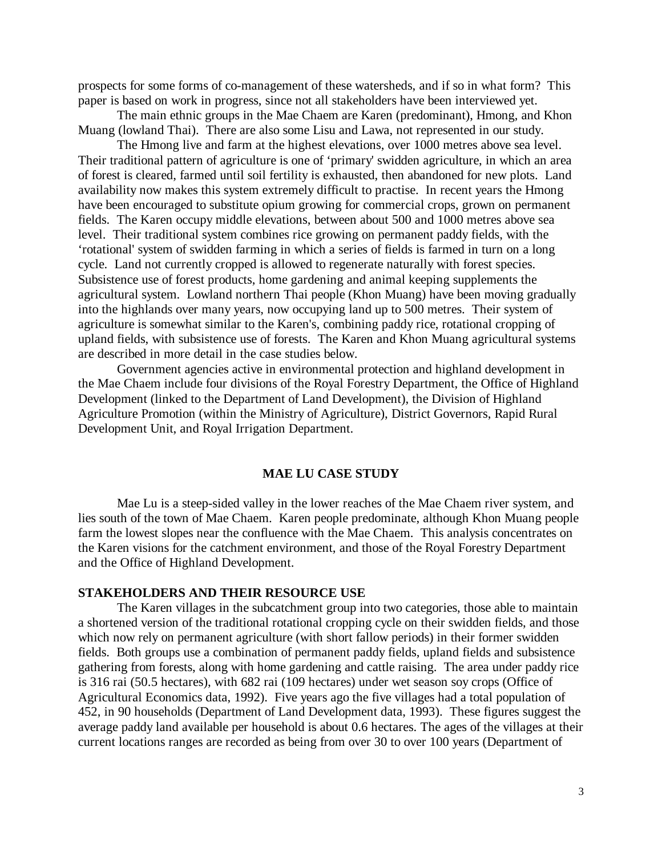prospects for some forms of co-management of these watersheds, and if so in what form? This paper is based on work in progress, since not all stakeholders have been interviewed yet.

The main ethnic groups in the Mae Chaem are Karen (predominant), Hmong, and Khon Muang (lowland Thai). There are also some Lisu and Lawa, not represented in our study.

The Hmong live and farm at the highest elevations, over 1000 metres above sea level. Their traditional pattern of agriculture is one of 'primary' swidden agriculture, in which an area of forest is cleared, farmed until soil fertility is exhausted, then abandoned for new plots. Land availability now makes this system extremely difficult to practise. In recent years the Hmong have been encouraged to substitute opium growing for commercial crops, grown on permanent fields. The Karen occupy middle elevations, between about 500 and 1000 metres above sea level. Their traditional system combines rice growing on permanent paddy fields, with the 'rotational' system of swidden farming in which a series of fields is farmed in turn on a long cycle. Land not currently cropped is allowed to regenerate naturally with forest species. Subsistence use of forest products, home gardening and animal keeping supplements the agricultural system. Lowland northern Thai people (Khon Muang) have been moving gradually into the highlands over many years, now occupying land up to 500 metres. Their system of agriculture is somewhat similar to the Karen's, combining paddy rice, rotational cropping of upland fields, with subsistence use of forests. The Karen and Khon Muang agricultural systems are described in more detail in the case studies below.

Government agencies active in environmental protection and highland development in the Mae Chaem include four divisions of the Royal Forestry Department, the Office of Highland Development (linked to the Department of Land Development), the Division of Highland Agriculture Promotion (within the Ministry of Agriculture), District Governors, Rapid Rural Development Unit, and Royal Irrigation Department.

# **MAE LU CASE STUDY**

Mae Lu is a steep-sided valley in the lower reaches of the Mae Chaem river system, and lies south of the town of Mae Chaem. Karen people predominate, although Khon Muang people farm the lowest slopes near the confluence with the Mae Chaem. This analysis concentrates on the Karen visions for the catchment environment, and those of the Royal Forestry Department and the Office of Highland Development.

# **STAKEHOLDERS AND THEIR RESOURCE USE**

The Karen villages in the subcatchment group into two categories, those able to maintain a shortened version of the traditional rotational cropping cycle on their swidden fields, and those which now rely on permanent agriculture (with short fallow periods) in their former swidden fields. Both groups use a combination of permanent paddy fields, upland fields and subsistence gathering from forests, along with home gardening and cattle raising. The area under paddy rice is 316 rai (50.5 hectares), with 682 rai (109 hectares) under wet season soy crops (Office of Agricultural Economics data, 1992). Five years ago the five villages had a total population of 452, in 90 households (Department of Land Development data, 1993). These figures suggest the average paddy land available per household is about 0.6 hectares. The ages of the villages at their current locations ranges are recorded as being from over 30 to over 100 years (Department of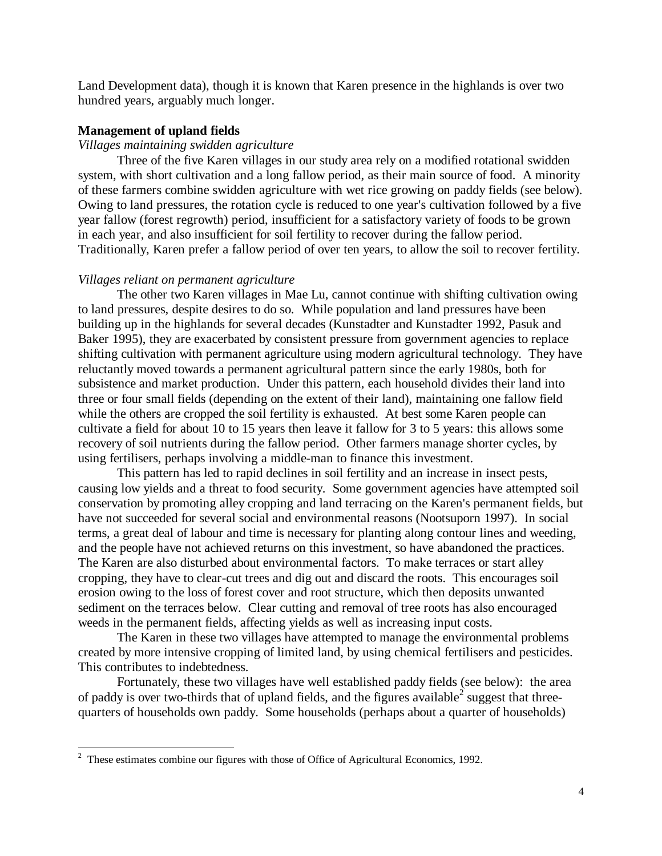Land Development data), though it is known that Karen presence in the highlands is over two hundred years, arguably much longer.

## **Management of upland fields**

## *Villages maintaining swidden agriculture*

Three of the five Karen villages in our study area rely on a modified rotational swidden system, with short cultivation and a long fallow period, as their main source of food. A minority of these farmers combine swidden agriculture with wet rice growing on paddy fields (see below). Owing to land pressures, the rotation cycle is reduced to one year's cultivation followed by a five year fallow (forest regrowth) period, insufficient for a satisfactory variety of foods to be grown in each year, and also insufficient for soil fertility to recover during the fallow period. Traditionally, Karen prefer a fallow period of over ten years, to allow the soil to recover fertility.

#### *Villages reliant on permanent agriculture*

The other two Karen villages in Mae Lu, cannot continue with shifting cultivation owing to land pressures, despite desires to do so. While population and land pressures have been building up in the highlands for several decades (Kunstadter and Kunstadter 1992, Pasuk and Baker 1995), they are exacerbated by consistent pressure from government agencies to replace shifting cultivation with permanent agriculture using modern agricultural technology. They have reluctantly moved towards a permanent agricultural pattern since the early 1980s, both for subsistence and market production. Under this pattern, each household divides their land into three or four small fields (depending on the extent of their land), maintaining one fallow field while the others are cropped the soil fertility is exhausted. At best some Karen people can cultivate a field for about 10 to 15 years then leave it fallow for 3 to 5 years: this allows some recovery of soil nutrients during the fallow period. Other farmers manage shorter cycles, by using fertilisers, perhaps involving a middle-man to finance this investment.

This pattern has led to rapid declines in soil fertility and an increase in insect pests, causing low yields and a threat to food security. Some government agencies have attempted soil conservation by promoting alley cropping and land terracing on the Karen's permanent fields, but have not succeeded for several social and environmental reasons (Nootsuporn 1997). In social terms, a great deal of labour and time is necessary for planting along contour lines and weeding, and the people have not achieved returns on this investment, so have abandoned the practices. The Karen are also disturbed about environmental factors. To make terraces or start alley cropping, they have to clear-cut trees and dig out and discard the roots. This encourages soil erosion owing to the loss of forest cover and root structure, which then deposits unwanted sediment on the terraces below. Clear cutting and removal of tree roots has also encouraged weeds in the permanent fields, affecting yields as well as increasing input costs.

The Karen in these two villages have attempted to manage the environmental problems created by more intensive cropping of limited land, by using chemical fertilisers and pesticides. This contributes to indebtedness.

Fortunately, these two villages have well established paddy fields (see below): the area of paddy is over two-thirds that of upland fields, and the figures available<sup>2</sup> suggest that threequarters of households own paddy. Some households (perhaps about a quarter of households)

<sup>&</sup>lt;sup>2</sup> These estimates combine our figures with those of Office of Agricultural Economics, 1992.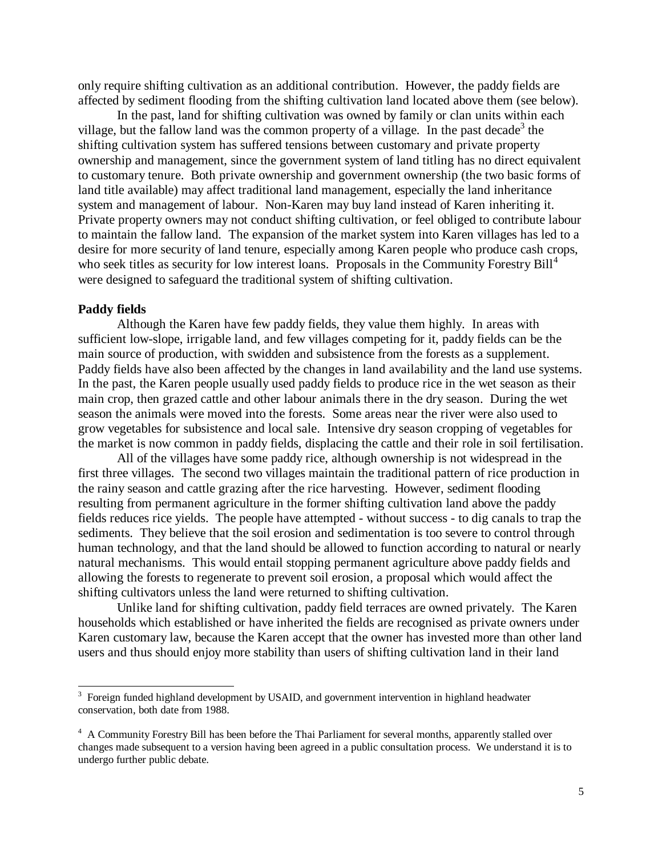only require shifting cultivation as an additional contribution. However, the paddy fields are affected by sediment flooding from the shifting cultivation land located above them (see below).

In the past, land for shifting cultivation was owned by family or clan units within each village, but the fallow land was the common property of a village. In the past decade<sup>3</sup> the shifting cultivation system has suffered tensions between customary and private property ownership and management, since the government system of land titling has no direct equivalent to customary tenure. Both private ownership and government ownership (the two basic forms of land title available) may affect traditional land management, especially the land inheritance system and management of labour. Non-Karen may buy land instead of Karen inheriting it. Private property owners may not conduct shifting cultivation, or feel obliged to contribute labour to maintain the fallow land. The expansion of the market system into Karen villages has led to a desire for more security of land tenure, especially among Karen people who produce cash crops, who seek titles as security for low interest loans. Proposals in the Community Forestry  $\text{Bill}^4$ were designed to safeguard the traditional system of shifting cultivation.

# **Paddy fields**

-

Although the Karen have few paddy fields, they value them highly. In areas with sufficient low-slope, irrigable land, and few villages competing for it, paddy fields can be the main source of production, with swidden and subsistence from the forests as a supplement. Paddy fields have also been affected by the changes in land availability and the land use systems. In the past, the Karen people usually used paddy fields to produce rice in the wet season as their main crop, then grazed cattle and other labour animals there in the dry season. During the wet season the animals were moved into the forests. Some areas near the river were also used to grow vegetables for subsistence and local sale. Intensive dry season cropping of vegetables for the market is now common in paddy fields, displacing the cattle and their role in soil fertilisation.

All of the villages have some paddy rice, although ownership is not widespread in the first three villages. The second two villages maintain the traditional pattern of rice production in the rainy season and cattle grazing after the rice harvesting. However, sediment flooding resulting from permanent agriculture in the former shifting cultivation land above the paddy fields reduces rice yields. The people have attempted - without success - to dig canals to trap the sediments. They believe that the soil erosion and sedimentation is too severe to control through human technology, and that the land should be allowed to function according to natural or nearly natural mechanisms. This would entail stopping permanent agriculture above paddy fields and allowing the forests to regenerate to prevent soil erosion, a proposal which would affect the shifting cultivators unless the land were returned to shifting cultivation.

Unlike land for shifting cultivation, paddy field terraces are owned privately. The Karen households which established or have inherited the fields are recognised as private owners under Karen customary law, because the Karen accept that the owner has invested more than other land users and thus should enjoy more stability than users of shifting cultivation land in their land

<sup>&</sup>lt;sup>3</sup> Foreign funded highland development by USAID, and government intervention in highland headwater conservation, both date from 1988.

<sup>&</sup>lt;sup>4</sup> A Community Forestry Bill has been before the Thai Parliament for several months, apparently stalled over changes made subsequent to a version having been agreed in a public consultation process. We understand it is to undergo further public debate.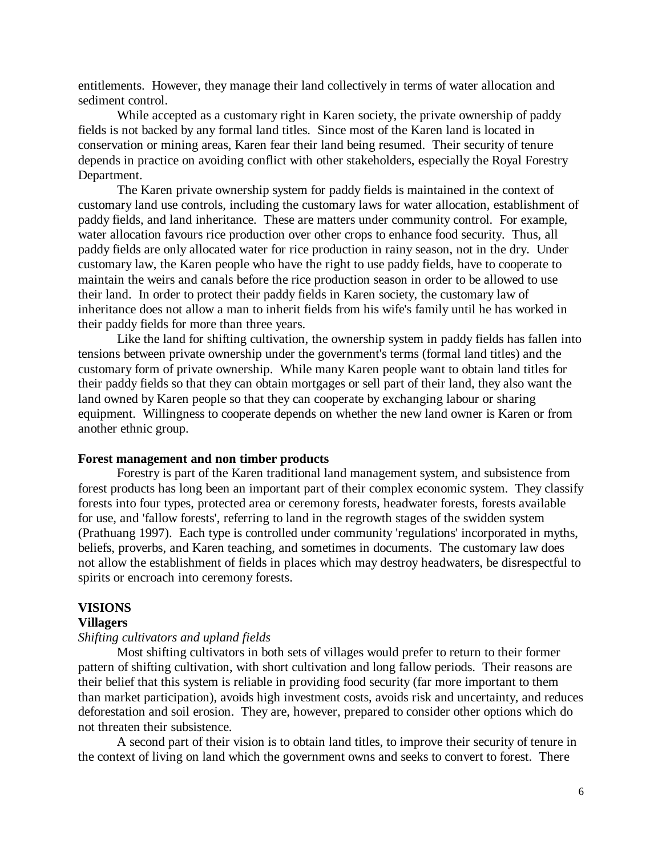entitlements. However, they manage their land collectively in terms of water allocation and sediment control.

While accepted as a customary right in Karen society, the private ownership of paddy fields is not backed by any formal land titles. Since most of the Karen land is located in conservation or mining areas, Karen fear their land being resumed. Their security of tenure depends in practice on avoiding conflict with other stakeholders, especially the Royal Forestry Department.

The Karen private ownership system for paddy fields is maintained in the context of customary land use controls, including the customary laws for water allocation, establishment of paddy fields, and land inheritance. These are matters under community control. For example, water allocation favours rice production over other crops to enhance food security. Thus, all paddy fields are only allocated water for rice production in rainy season, not in the dry. Under customary law, the Karen people who have the right to use paddy fields, have to cooperate to maintain the weirs and canals before the rice production season in order to be allowed to use their land. In order to protect their paddy fields in Karen society, the customary law of inheritance does not allow a man to inherit fields from his wife's family until he has worked in their paddy fields for more than three years.

Like the land for shifting cultivation, the ownership system in paddy fields has fallen into tensions between private ownership under the government's terms (formal land titles) and the customary form of private ownership. While many Karen people want to obtain land titles for their paddy fields so that they can obtain mortgages or sell part of their land, they also want the land owned by Karen people so that they can cooperate by exchanging labour or sharing equipment. Willingness to cooperate depends on whether the new land owner is Karen or from another ethnic group.

## **Forest management and non timber products**

Forestry is part of the Karen traditional land management system, and subsistence from forest products has long been an important part of their complex economic system. They classify forests into four types, protected area or ceremony forests, headwater forests, forests available for use, and 'fallow forests', referring to land in the regrowth stages of the swidden system (Prathuang 1997). Each type is controlled under community 'regulations' incorporated in myths, beliefs, proverbs, and Karen teaching, and sometimes in documents. The customary law does not allow the establishment of fields in places which may destroy headwaters, be disrespectful to spirits or encroach into ceremony forests.

#### **VISIONS**

#### **Villagers**

#### *Shifting cultivators and upland fields*

Most shifting cultivators in both sets of villages would prefer to return to their former pattern of shifting cultivation, with short cultivation and long fallow periods. Their reasons are their belief that this system is reliable in providing food security (far more important to them than market participation), avoids high investment costs, avoids risk and uncertainty, and reduces deforestation and soil erosion. They are, however, prepared to consider other options which do not threaten their subsistence.

A second part of their vision is to obtain land titles, to improve their security of tenure in the context of living on land which the government owns and seeks to convert to forest. There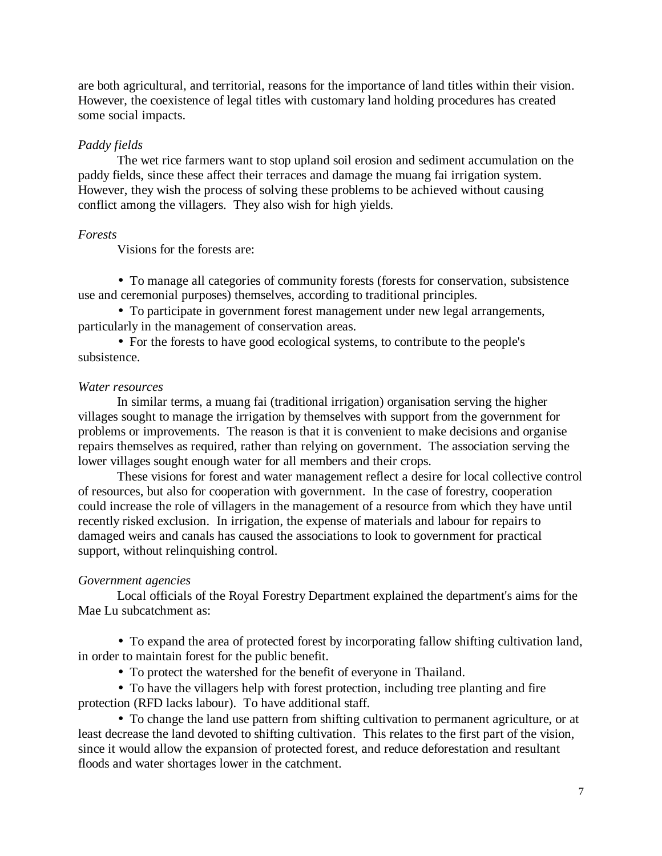are both agricultural, and territorial, reasons for the importance of land titles within their vision. However, the coexistence of legal titles with customary land holding procedures has created some social impacts.

# *Paddy fields*

The wet rice farmers want to stop upland soil erosion and sediment accumulation on the paddy fields, since these affect their terraces and damage the muang fai irrigation system. However, they wish the process of solving these problems to be achieved without causing conflict among the villagers. They also wish for high yields.

# *Forests*

Visions for the forests are:

• To manage all categories of community forests (forests for conservation, subsistence use and ceremonial purposes) themselves, according to traditional principles.

• To participate in government forest management under new legal arrangements, particularly in the management of conservation areas.

• For the forests to have good ecological systems, to contribute to the people's subsistence.

# *Water resources*

In similar terms, a muang fai (traditional irrigation) organisation serving the higher villages sought to manage the irrigation by themselves with support from the government for problems or improvements. The reason is that it is convenient to make decisions and organise repairs themselves as required, rather than relying on government. The association serving the lower villages sought enough water for all members and their crops.

These visions for forest and water management reflect a desire for local collective control of resources, but also for cooperation with government. In the case of forestry, cooperation could increase the role of villagers in the management of a resource from which they have until recently risked exclusion. In irrigation, the expense of materials and labour for repairs to damaged weirs and canals has caused the associations to look to government for practical support, without relinquishing control.

# *Government agencies*

Local officials of the Royal Forestry Department explained the department's aims for the Mae Lu subcatchment as:

• To expand the area of protected forest by incorporating fallow shifting cultivation land, in order to maintain forest for the public benefit.

• To protect the watershed for the benefit of everyone in Thailand.

• To have the villagers help with forest protection, including tree planting and fire protection (RFD lacks labour). To have additional staff.

• To change the land use pattern from shifting cultivation to permanent agriculture, or at least decrease the land devoted to shifting cultivation. This relates to the first part of the vision, since it would allow the expansion of protected forest, and reduce deforestation and resultant floods and water shortages lower in the catchment.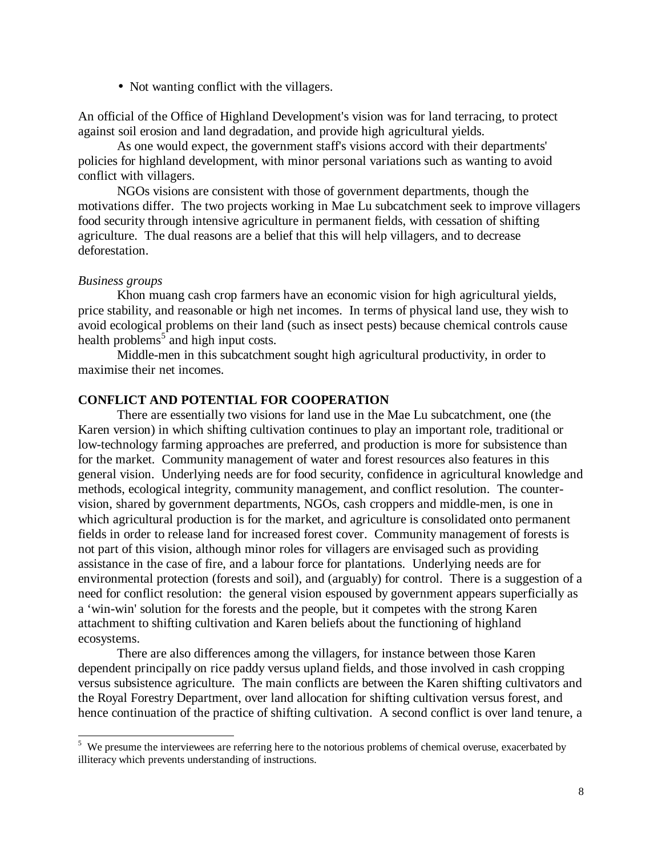• Not wanting conflict with the villagers.

An official of the Office of Highland Development's vision was for land terracing, to protect against soil erosion and land degradation, and provide high agricultural yields.

As one would expect, the government staff's visions accord with their departments' policies for highland development, with minor personal variations such as wanting to avoid conflict with villagers.

NGOs visions are consistent with those of government departments, though the motivations differ. The two projects working in Mae Lu subcatchment seek to improve villagers food security through intensive agriculture in permanent fields, with cessation of shifting agriculture. The dual reasons are a belief that this will help villagers, and to decrease deforestation.

# *Business groups*

-

Khon muang cash crop farmers have an economic vision for high agricultural yields, price stability, and reasonable or high net incomes. In terms of physical land use, they wish to avoid ecological problems on their land (such as insect pests) because chemical controls cause health problems<sup>5</sup> and high input costs.

Middle-men in this subcatchment sought high agricultural productivity, in order to maximise their net incomes.

# **CONFLICT AND POTENTIAL FOR COOPERATION**

There are essentially two visions for land use in the Mae Lu subcatchment, one (the Karen version) in which shifting cultivation continues to play an important role, traditional or low-technology farming approaches are preferred, and production is more for subsistence than for the market. Community management of water and forest resources also features in this general vision. Underlying needs are for food security, confidence in agricultural knowledge and methods, ecological integrity, community management, and conflict resolution. The countervision, shared by government departments, NGOs, cash croppers and middle-men, is one in which agricultural production is for the market, and agriculture is consolidated onto permanent fields in order to release land for increased forest cover. Community management of forests is not part of this vision, although minor roles for villagers are envisaged such as providing assistance in the case of fire, and a labour force for plantations. Underlying needs are for environmental protection (forests and soil), and (arguably) for control. There is a suggestion of a need for conflict resolution: the general vision espoused by government appears superficially as a 'win-win' solution for the forests and the people, but it competes with the strong Karen attachment to shifting cultivation and Karen beliefs about the functioning of highland ecosystems.

There are also differences among the villagers, for instance between those Karen dependent principally on rice paddy versus upland fields, and those involved in cash cropping versus subsistence agriculture. The main conflicts are between the Karen shifting cultivators and the Royal Forestry Department, over land allocation for shifting cultivation versus forest, and hence continuation of the practice of shifting cultivation. A second conflict is over land tenure, a

<sup>&</sup>lt;sup>5</sup> We presume the interviewees are referring here to the notorious problems of chemical overuse, exacerbated by illiteracy which prevents understanding of instructions.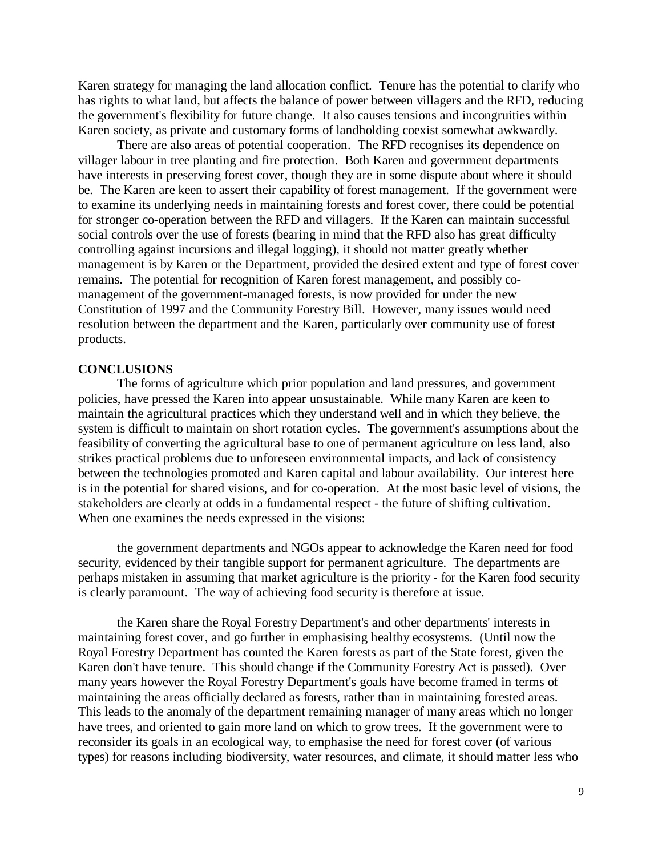Karen strategy for managing the land allocation conflict. Tenure has the potential to clarify who has rights to what land, but affects the balance of power between villagers and the RFD, reducing the government's flexibility for future change. It also causes tensions and incongruities within Karen society, as private and customary forms of landholding coexist somewhat awkwardly.

There are also areas of potential cooperation. The RFD recognises its dependence on villager labour in tree planting and fire protection. Both Karen and government departments have interests in preserving forest cover, though they are in some dispute about where it should be. The Karen are keen to assert their capability of forest management. If the government were to examine its underlying needs in maintaining forests and forest cover, there could be potential for stronger co-operation between the RFD and villagers. If the Karen can maintain successful social controls over the use of forests (bearing in mind that the RFD also has great difficulty controlling against incursions and illegal logging), it should not matter greatly whether management is by Karen or the Department, provided the desired extent and type of forest cover remains. The potential for recognition of Karen forest management, and possibly comanagement of the government-managed forests, is now provided for under the new Constitution of 1997 and the Community Forestry Bill. However, many issues would need resolution between the department and the Karen, particularly over community use of forest products.

#### **CONCLUSIONS**

The forms of agriculture which prior population and land pressures, and government policies, have pressed the Karen into appear unsustainable. While many Karen are keen to maintain the agricultural practices which they understand well and in which they believe, the system is difficult to maintain on short rotation cycles. The government's assumptions about the feasibility of converting the agricultural base to one of permanent agriculture on less land, also strikes practical problems due to unforeseen environmental impacts, and lack of consistency between the technologies promoted and Karen capital and labour availability. Our interest here is in the potential for shared visions, and for co-operation. At the most basic level of visions, the stakeholders are clearly at odds in a fundamental respect - the future of shifting cultivation. When one examines the needs expressed in the visions:

the government departments and NGOs appear to acknowledge the Karen need for food security, evidenced by their tangible support for permanent agriculture. The departments are perhaps mistaken in assuming that market agriculture is the priority - for the Karen food security is clearly paramount. The way of achieving food security is therefore at issue.

the Karen share the Royal Forestry Department's and other departments' interests in maintaining forest cover, and go further in emphasising healthy ecosystems. (Until now the Royal Forestry Department has counted the Karen forests as part of the State forest, given the Karen don't have tenure. This should change if the Community Forestry Act is passed). Over many years however the Royal Forestry Department's goals have become framed in terms of maintaining the areas officially declared as forests, rather than in maintaining forested areas. This leads to the anomaly of the department remaining manager of many areas which no longer have trees, and oriented to gain more land on which to grow trees. If the government were to reconsider its goals in an ecological way, to emphasise the need for forest cover (of various types) for reasons including biodiversity, water resources, and climate, it should matter less who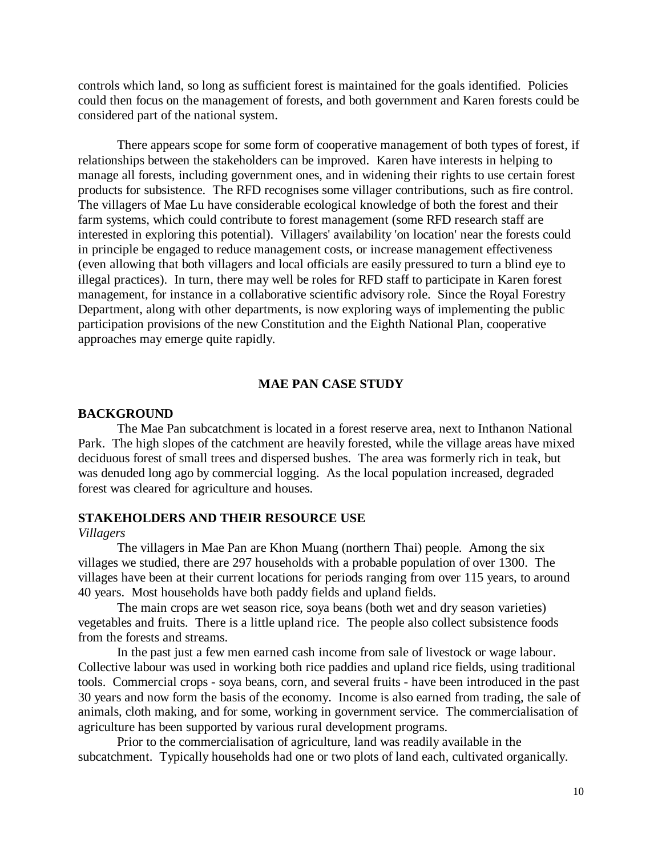controls which land, so long as sufficient forest is maintained for the goals identified. Policies could then focus on the management of forests, and both government and Karen forests could be considered part of the national system.

There appears scope for some form of cooperative management of both types of forest, if relationships between the stakeholders can be improved. Karen have interests in helping to manage all forests, including government ones, and in widening their rights to use certain forest products for subsistence. The RFD recognises some villager contributions, such as fire control. The villagers of Mae Lu have considerable ecological knowledge of both the forest and their farm systems, which could contribute to forest management (some RFD research staff are interested in exploring this potential). Villagers' availability 'on location' near the forests could in principle be engaged to reduce management costs, or increase management effectiveness (even allowing that both villagers and local officials are easily pressured to turn a blind eye to illegal practices). In turn, there may well be roles for RFD staff to participate in Karen forest management, for instance in a collaborative scientific advisory role. Since the Royal Forestry Department, along with other departments, is now exploring ways of implementing the public participation provisions of the new Constitution and the Eighth National Plan, cooperative approaches may emerge quite rapidly.

### **MAE PAN CASE STUDY**

### **BACKGROUND**

The Mae Pan subcatchment is located in a forest reserve area, next to Inthanon National Park. The high slopes of the catchment are heavily forested, while the village areas have mixed deciduous forest of small trees and dispersed bushes. The area was formerly rich in teak, but was denuded long ago by commercial logging. As the local population increased, degraded forest was cleared for agriculture and houses.

# **STAKEHOLDERS AND THEIR RESOURCE USE**

#### *Villagers*

The villagers in Mae Pan are Khon Muang (northern Thai) people. Among the six villages we studied, there are 297 households with a probable population of over 1300. The villages have been at their current locations for periods ranging from over 115 years, to around 40 years. Most households have both paddy fields and upland fields.

The main crops are wet season rice, soya beans (both wet and dry season varieties) vegetables and fruits. There is a little upland rice. The people also collect subsistence foods from the forests and streams.

In the past just a few men earned cash income from sale of livestock or wage labour. Collective labour was used in working both rice paddies and upland rice fields, using traditional tools. Commercial crops - soya beans, corn, and several fruits - have been introduced in the past 30 years and now form the basis of the economy. Income is also earned from trading, the sale of animals, cloth making, and for some, working in government service. The commercialisation of agriculture has been supported by various rural development programs.

Prior to the commercialisation of agriculture, land was readily available in the subcatchment. Typically households had one or two plots of land each, cultivated organically.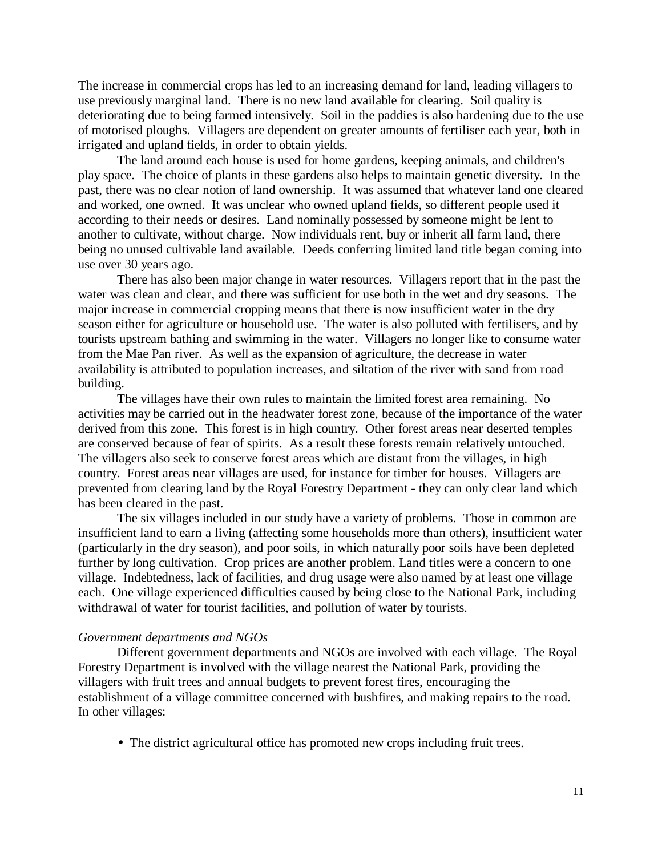The increase in commercial crops has led to an increasing demand for land, leading villagers to use previously marginal land. There is no new land available for clearing. Soil quality is deteriorating due to being farmed intensively. Soil in the paddies is also hardening due to the use of motorised ploughs. Villagers are dependent on greater amounts of fertiliser each year, both in irrigated and upland fields, in order to obtain yields.

The land around each house is used for home gardens, keeping animals, and children's play space. The choice of plants in these gardens also helps to maintain genetic diversity. In the past, there was no clear notion of land ownership. It was assumed that whatever land one cleared and worked, one owned. It was unclear who owned upland fields, so different people used it according to their needs or desires. Land nominally possessed by someone might be lent to another to cultivate, without charge. Now individuals rent, buy or inherit all farm land, there being no unused cultivable land available. Deeds conferring limited land title began coming into use over 30 years ago.

There has also been major change in water resources. Villagers report that in the past the water was clean and clear, and there was sufficient for use both in the wet and dry seasons. The major increase in commercial cropping means that there is now insufficient water in the dry season either for agriculture or household use. The water is also polluted with fertilisers, and by tourists upstream bathing and swimming in the water. Villagers no longer like to consume water from the Mae Pan river. As well as the expansion of agriculture, the decrease in water availability is attributed to population increases, and siltation of the river with sand from road building.

The villages have their own rules to maintain the limited forest area remaining. No activities may be carried out in the headwater forest zone, because of the importance of the water derived from this zone. This forest is in high country. Other forest areas near deserted temples are conserved because of fear of spirits. As a result these forests remain relatively untouched. The villagers also seek to conserve forest areas which are distant from the villages, in high country. Forest areas near villages are used, for instance for timber for houses. Villagers are prevented from clearing land by the Royal Forestry Department - they can only clear land which has been cleared in the past.

The six villages included in our study have a variety of problems. Those in common are insufficient land to earn a living (affecting some households more than others), insufficient water (particularly in the dry season), and poor soils, in which naturally poor soils have been depleted further by long cultivation. Crop prices are another problem. Land titles were a concern to one village. Indebtedness, lack of facilities, and drug usage were also named by at least one village each. One village experienced difficulties caused by being close to the National Park, including withdrawal of water for tourist facilities, and pollution of water by tourists.

## *Government departments and NGOs*

Different government departments and NGOs are involved with each village. The Royal Forestry Department is involved with the village nearest the National Park, providing the villagers with fruit trees and annual budgets to prevent forest fires, encouraging the establishment of a village committee concerned with bushfires, and making repairs to the road. In other villages:

• The district agricultural office has promoted new crops including fruit trees.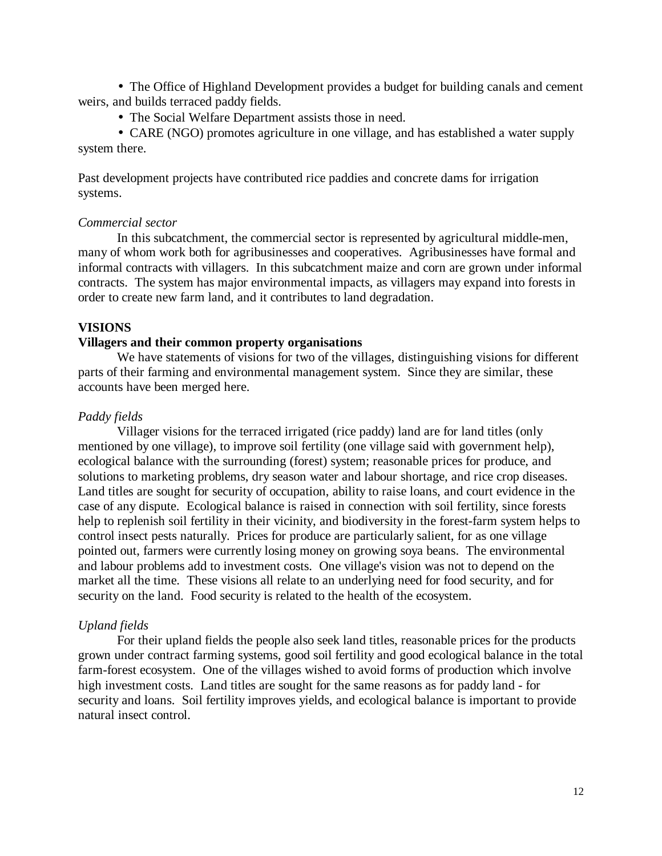• The Office of Highland Development provides a budget for building canals and cement weirs, and builds terraced paddy fields.

• The Social Welfare Department assists those in need.

• CARE (NGO) promotes agriculture in one village, and has established a water supply system there.

Past development projects have contributed rice paddies and concrete dams for irrigation systems.

## *Commercial sector*

In this subcatchment, the commercial sector is represented by agricultural middle-men, many of whom work both for agribusinesses and cooperatives. Agribusinesses have formal and informal contracts with villagers. In this subcatchment maize and corn are grown under informal contracts. The system has major environmental impacts, as villagers may expand into forests in order to create new farm land, and it contributes to land degradation.

# **VISIONS**

#### **Villagers and their common property organisations**

We have statements of visions for two of the villages, distinguishing visions for different parts of their farming and environmental management system. Since they are similar, these accounts have been merged here.

# *Paddy fields*

Villager visions for the terraced irrigated (rice paddy) land are for land titles (only mentioned by one village), to improve soil fertility (one village said with government help), ecological balance with the surrounding (forest) system; reasonable prices for produce, and solutions to marketing problems, dry season water and labour shortage, and rice crop diseases. Land titles are sought for security of occupation, ability to raise loans, and court evidence in the case of any dispute. Ecological balance is raised in connection with soil fertility, since forests help to replenish soil fertility in their vicinity, and biodiversity in the forest-farm system helps to control insect pests naturally. Prices for produce are particularly salient, for as one village pointed out, farmers were currently losing money on growing soya beans. The environmental and labour problems add to investment costs. One village's vision was not to depend on the market all the time. These visions all relate to an underlying need for food security, and for security on the land. Food security is related to the health of the ecosystem.

# *Upland fields*

For their upland fields the people also seek land titles, reasonable prices for the products grown under contract farming systems, good soil fertility and good ecological balance in the total farm-forest ecosystem. One of the villages wished to avoid forms of production which involve high investment costs. Land titles are sought for the same reasons as for paddy land - for security and loans. Soil fertility improves yields, and ecological balance is important to provide natural insect control.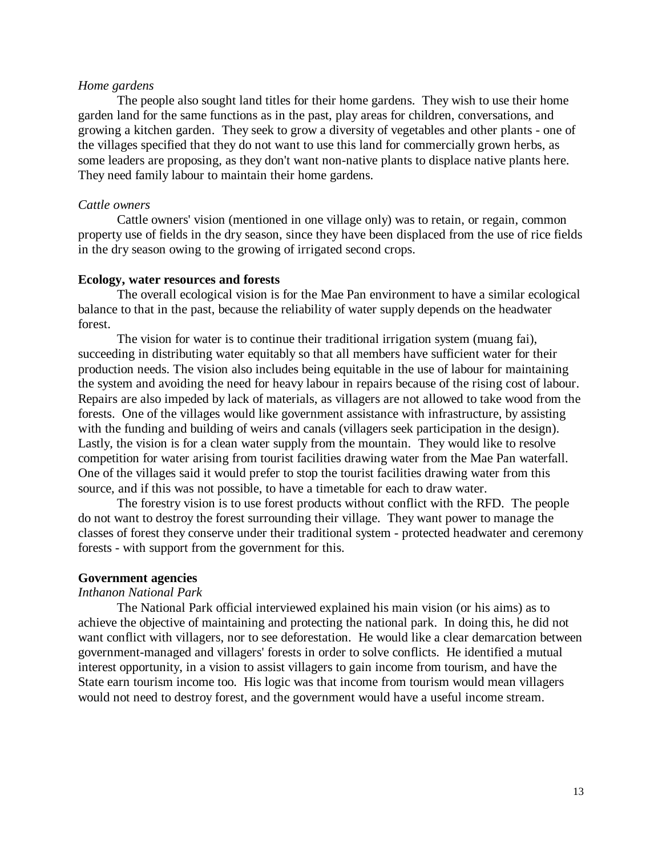# *Home gardens*

The people also sought land titles for their home gardens. They wish to use their home garden land for the same functions as in the past, play areas for children, conversations, and growing a kitchen garden. They seek to grow a diversity of vegetables and other plants - one of the villages specified that they do not want to use this land for commercially grown herbs, as some leaders are proposing, as they don't want non-native plants to displace native plants here. They need family labour to maintain their home gardens.

#### *Cattle owners*

Cattle owners' vision (mentioned in one village only) was to retain, or regain, common property use of fields in the dry season, since they have been displaced from the use of rice fields in the dry season owing to the growing of irrigated second crops.

## **Ecology, water resources and forests**

The overall ecological vision is for the Mae Pan environment to have a similar ecological balance to that in the past, because the reliability of water supply depends on the headwater forest.

The vision for water is to continue their traditional irrigation system (muang fai), succeeding in distributing water equitably so that all members have sufficient water for their production needs. The vision also includes being equitable in the use of labour for maintaining the system and avoiding the need for heavy labour in repairs because of the rising cost of labour. Repairs are also impeded by lack of materials, as villagers are not allowed to take wood from the forests. One of the villages would like government assistance with infrastructure, by assisting with the funding and building of weirs and canals (villagers seek participation in the design). Lastly, the vision is for a clean water supply from the mountain. They would like to resolve competition for water arising from tourist facilities drawing water from the Mae Pan waterfall. One of the villages said it would prefer to stop the tourist facilities drawing water from this source, and if this was not possible, to have a timetable for each to draw water.

The forestry vision is to use forest products without conflict with the RFD. The people do not want to destroy the forest surrounding their village. They want power to manage the classes of forest they conserve under their traditional system - protected headwater and ceremony forests - with support from the government for this.

# **Government agencies**

# *Inthanon National Park*

The National Park official interviewed explained his main vision (or his aims) as to achieve the objective of maintaining and protecting the national park. In doing this, he did not want conflict with villagers, nor to see deforestation. He would like a clear demarcation between government-managed and villagers' forests in order to solve conflicts. He identified a mutual interest opportunity, in a vision to assist villagers to gain income from tourism, and have the State earn tourism income too. His logic was that income from tourism would mean villagers would not need to destroy forest, and the government would have a useful income stream.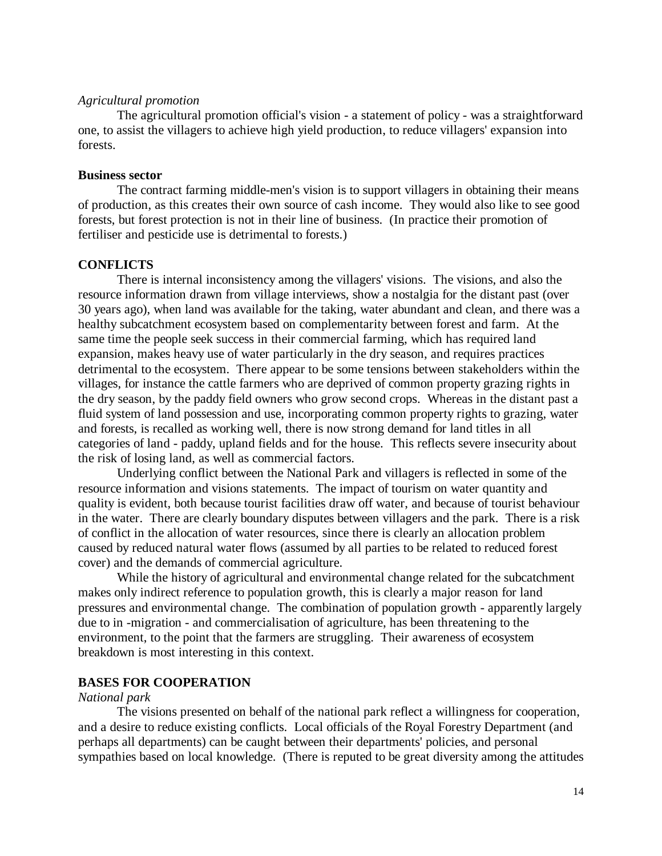# *Agricultural promotion*

The agricultural promotion official's vision - a statement of policy - was a straightforward one, to assist the villagers to achieve high yield production, to reduce villagers' expansion into forests.

# **Business sector**

The contract farming middle-men's vision is to support villagers in obtaining their means of production, as this creates their own source of cash income. They would also like to see good forests, but forest protection is not in their line of business. (In practice their promotion of fertiliser and pesticide use is detrimental to forests.)

# **CONFLICTS**

There is internal inconsistency among the villagers' visions. The visions, and also the resource information drawn from village interviews, show a nostalgia for the distant past (over 30 years ago), when land was available for the taking, water abundant and clean, and there was a healthy subcatchment ecosystem based on complementarity between forest and farm. At the same time the people seek success in their commercial farming, which has required land expansion, makes heavy use of water particularly in the dry season, and requires practices detrimental to the ecosystem. There appear to be some tensions between stakeholders within the villages, for instance the cattle farmers who are deprived of common property grazing rights in the dry season, by the paddy field owners who grow second crops. Whereas in the distant past a fluid system of land possession and use, incorporating common property rights to grazing, water and forests, is recalled as working well, there is now strong demand for land titles in all categories of land - paddy, upland fields and for the house. This reflects severe insecurity about the risk of losing land, as well as commercial factors.

Underlying conflict between the National Park and villagers is reflected in some of the resource information and visions statements. The impact of tourism on water quantity and quality is evident, both because tourist facilities draw off water, and because of tourist behaviour in the water. There are clearly boundary disputes between villagers and the park. There is a risk of conflict in the allocation of water resources, since there is clearly an allocation problem caused by reduced natural water flows (assumed by all parties to be related to reduced forest cover) and the demands of commercial agriculture.

While the history of agricultural and environmental change related for the subcatchment makes only indirect reference to population growth, this is clearly a major reason for land pressures and environmental change. The combination of population growth - apparently largely due to in -migration - and commercialisation of agriculture, has been threatening to the environment, to the point that the farmers are struggling. Their awareness of ecosystem breakdown is most interesting in this context.

# **BASES FOR COOPERATION**

# *National park*

The visions presented on behalf of the national park reflect a willingness for cooperation, and a desire to reduce existing conflicts. Local officials of the Royal Forestry Department (and perhaps all departments) can be caught between their departments' policies, and personal sympathies based on local knowledge. (There is reputed to be great diversity among the attitudes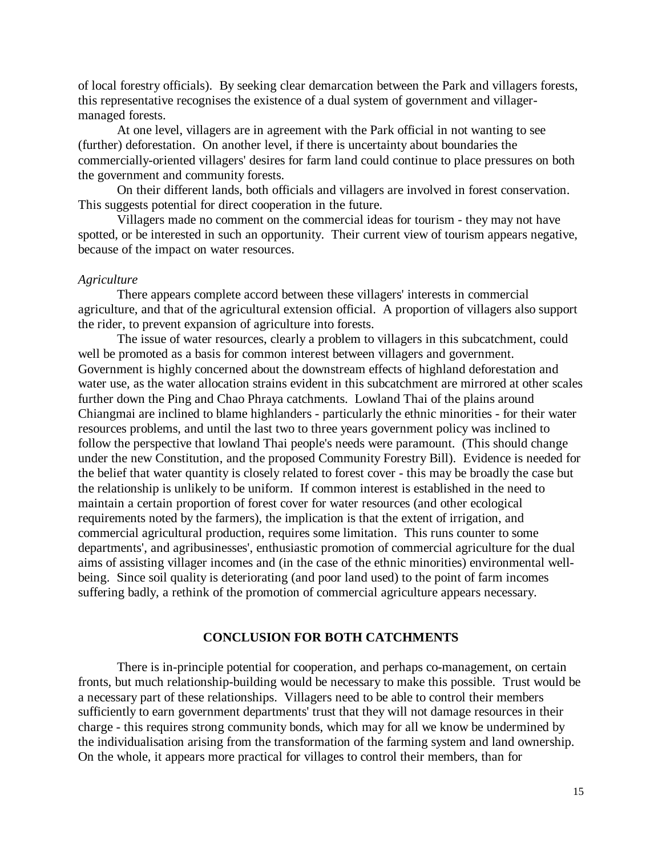of local forestry officials). By seeking clear demarcation between the Park and villagers forests, this representative recognises the existence of a dual system of government and villagermanaged forests.

At one level, villagers are in agreement with the Park official in not wanting to see (further) deforestation. On another level, if there is uncertainty about boundaries the commercially-oriented villagers' desires for farm land could continue to place pressures on both the government and community forests.

On their different lands, both officials and villagers are involved in forest conservation. This suggests potential for direct cooperation in the future.

Villagers made no comment on the commercial ideas for tourism - they may not have spotted, or be interested in such an opportunity. Their current view of tourism appears negative, because of the impact on water resources.

#### *Agriculture*

There appears complete accord between these villagers' interests in commercial agriculture, and that of the agricultural extension official. A proportion of villagers also support the rider, to prevent expansion of agriculture into forests.

The issue of water resources, clearly a problem to villagers in this subcatchment, could well be promoted as a basis for common interest between villagers and government. Government is highly concerned about the downstream effects of highland deforestation and water use, as the water allocation strains evident in this subcatchment are mirrored at other scales further down the Ping and Chao Phraya catchments. Lowland Thai of the plains around Chiangmai are inclined to blame highlanders - particularly the ethnic minorities - for their water resources problems, and until the last two to three years government policy was inclined to follow the perspective that lowland Thai people's needs were paramount. (This should change under the new Constitution, and the proposed Community Forestry Bill). Evidence is needed for the belief that water quantity is closely related to forest cover - this may be broadly the case but the relationship is unlikely to be uniform. If common interest is established in the need to maintain a certain proportion of forest cover for water resources (and other ecological requirements noted by the farmers), the implication is that the extent of irrigation, and commercial agricultural production, requires some limitation. This runs counter to some departments', and agribusinesses', enthusiastic promotion of commercial agriculture for the dual aims of assisting villager incomes and (in the case of the ethnic minorities) environmental wellbeing. Since soil quality is deteriorating (and poor land used) to the point of farm incomes suffering badly, a rethink of the promotion of commercial agriculture appears necessary.

## **CONCLUSION FOR BOTH CATCHMENTS**

There is in-principle potential for cooperation, and perhaps co-management, on certain fronts, but much relationship-building would be necessary to make this possible. Trust would be a necessary part of these relationships. Villagers need to be able to control their members sufficiently to earn government departments' trust that they will not damage resources in their charge - this requires strong community bonds, which may for all we know be undermined by the individualisation arising from the transformation of the farming system and land ownership. On the whole, it appears more practical for villages to control their members, than for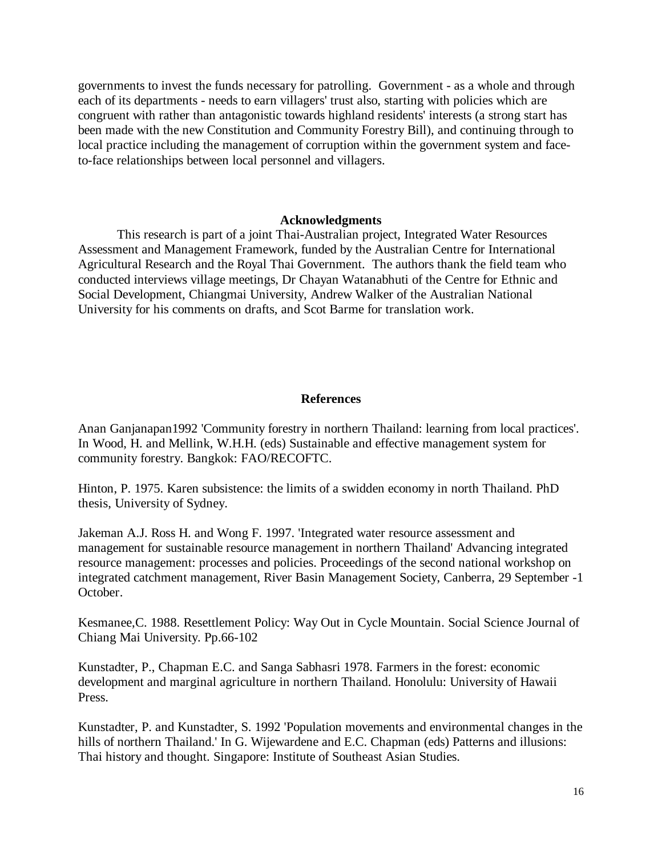governments to invest the funds necessary for patrolling. Government - as a whole and through each of its departments - needs to earn villagers' trust also, starting with policies which are congruent with rather than antagonistic towards highland residents' interests (a strong start has been made with the new Constitution and Community Forestry Bill), and continuing through to local practice including the management of corruption within the government system and faceto-face relationships between local personnel and villagers.

# **Acknowledgments**

This research is part of a joint Thai-Australian project, Integrated Water Resources Assessment and Management Framework, funded by the Australian Centre for International Agricultural Research and the Royal Thai Government. The authors thank the field team who conducted interviews village meetings, Dr Chayan Watanabhuti of the Centre for Ethnic and Social Development, Chiangmai University, Andrew Walker of the Australian National University for his comments on drafts, and Scot Barme for translation work.

# **References**

Anan Ganjanapan1992 'Community forestry in northern Thailand: learning from local practices'. In Wood, H. and Mellink, W.H.H. (eds) Sustainable and effective management system for community forestry. Bangkok: FAO/RECOFTC.

Hinton, P. 1975. Karen subsistence: the limits of a swidden economy in north Thailand. PhD thesis, University of Sydney.

Jakeman A.J. Ross H. and Wong F. 1997. 'Integrated water resource assessment and management for sustainable resource management in northern Thailand' Advancing integrated resource management: processes and policies. Proceedings of the second national workshop on integrated catchment management, River Basin Management Society, Canberra, 29 September -1 October.

Kesmanee,C. 1988. Resettlement Policy: Way Out in Cycle Mountain. Social Science Journal of Chiang Mai University. Pp.66-102

Kunstadter, P., Chapman E.C. and Sanga Sabhasri 1978. Farmers in the forest: economic development and marginal agriculture in northern Thailand. Honolulu: University of Hawaii Press.

Kunstadter, P. and Kunstadter, S. 1992 'Population movements and environmental changes in the hills of northern Thailand.' In G. Wijewardene and E.C. Chapman (eds) Patterns and illusions: Thai history and thought. Singapore: Institute of Southeast Asian Studies.